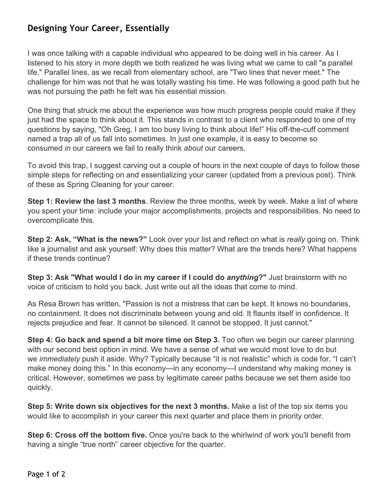## **Designing Your Career, Essentially**

I was once talking with a capable individual who appeared to be doing well in his career. As I listened to his story in more depth we both realized he was living what we came to call "a parallel life." Parallel lines, as we recall from elementary school, are "Two lines that never meet." The challenge for him was not that he was totally wasting his time. He was following a good path but he was not pursuing the path he felt was his essential mission.

One thing that struck me about the experience was how much progress people could make if they just had the space to think about it. This stands in contrast to a client who responded to one of my questions by saying, "Oh Greg, I am too busy living to think about life!" His off-the-cuff comment named a trap all of us fall into sometimes. In just one example, it is easy to become so consumed *in* our careers we fail to really think *about* our careers.

To avoid this trap, I suggest carving out a couple of hours in the next couple of days to follow these simple steps for reflecting on and essentializing your career (updated from a previous post). Think of these as Spring Cleaning for your career.

**Step 1: Review the last 3 months**. Review the three months, week by week. Make a list of where you spent your time: include your major accomplishments, projects and responsibilities. No need to overcomplicate this.

**Step 2: Ask, "What is the news?"** Look over your list and reflect on what is *really* going on. Think like a journalist and ask yourself: Why does this matter? What are the trends here? What happens if these trends continue?

**Step 3: Ask "What would I do in my career if I could do** *anything***?"** Just brainstorm with no voice of criticism to hold you back. Just write out all the ideas that come to mind.

As Resa Brown has written, "Passion is not a mistress that can be kept. It knows no boundaries, no containment. It does not discriminate between young and old. It flaunts itself in confidence. It rejects prejudice and fear. It cannot be silenced. It cannot be stopped. It just cannot."

**Step 4: Go back and spend a bit more time on Step 3.** Too often we begin our career planning with our second best option in mind. We have a sense of what we would most love to do but we *immediately* push it aside. Why? Typically because "it is not realistic" which is code for, "I can't make money doing this." In this economy—in any economy—I understand why making money is critical. However, sometimes we pass by legitimate career paths because we set them aside too quickly.

**Step 5: Write down six objectives for the next 3 months.** Make a list of the top six items you would like to accomplish in your career this next quarter and place them in priority order.

**Step 6: Cross off the bottom five.** Once you're back to the whirlwind of work you'll benefit from having a single "true north" career objective for the quarter.